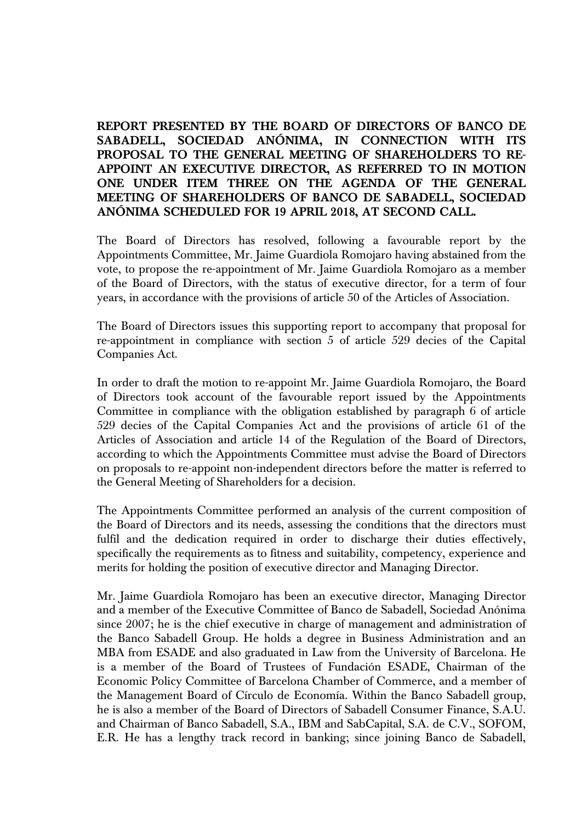## **REPORT PRESENTED BY THE BOARD OF DIRECTORS OF BANCO DE SABADELL, SOCIEDAD ANÓNIMA, IN CONNECTION WITH ITS PROPOSAL TO THE GENERAL MEETING OF SHAREHOLDERS TO RE-APPOINT AN EXECUTIVE DIRECTOR, AS REFERRED TO IN MOTION ONE UNDER ITEM THREE ON THE AGENDA OF THE GENERAL MEETING OF SHAREHOLDERS OF BANCO DE SABADELL, SOCIEDAD ANÓNIMA SCHEDULED FOR 19 APRIL 2018, AT SECOND CALL.**

The Board of Directors has resolved, following a favourable report by the Appointments Committee, Mr. Jaime Guardiola Romojaro having abstained from the vote, to propose the re-appointment of Mr. Jaime Guardiola Romojaro as a member of the Board of Directors, with the status of executive director, for a term of four years, in accordance with the provisions of article 50 of the Articles of Association.

The Board of Directors issues this supporting report to accompany that proposal for re-appointment in compliance with section 5 of article 529 decies of the Capital Companies Act.

In order to draft the motion to re-appoint Mr. Jaime Guardiola Romojaro, the Board of Directors took account of the favourable report issued by the Appointments Committee in compliance with the obligation established by paragraph 6 of article 529 decies of the Capital Companies Act and the provisions of article 61 of the Articles of Association and article 14 of the Regulation of the Board of Directors, according to which the Appointments Committee must advise the Board of Directors on proposals to re-appoint non-independent directors before the matter is referred to the General Meeting of Shareholders for a decision.

The Appointments Committee performed an analysis of the current composition of the Board of Directors and its needs, assessing the conditions that the directors must fulfil and the dedication required in order to discharge their duties effectively, specifically the requirements as to fitness and suitability, competency, experience and merits for holding the position of executive director and Managing Director.

Mr. Jaime Guardiola Romojaro has been an executive director, Managing Director and a member of the Executive Committee of Banco de Sabadell, Sociedad Anónima since 2007; he is the chief executive in charge of management and administration of the Banco Sabadell Group. He holds a degree in Business Administration and an MBA from ESADE and also graduated in Law from the University of Barcelona. He is a member of the Board of Trustees of Fundación ESADE, Chairman of the Economic Policy Committee of Barcelona Chamber of Commerce, and a member of the Management Board of Círculo de Economía. Within the Banco Sabadell group, he is also a member of the Board of Directors of Sabadell Consumer Finance, S.A.U. and Chairman of Banco Sabadell, S.A., IBM and SabCapital, S.A. de C.V., SOFOM, E.R. He has a lengthy track record in banking; since joining Banco de Sabadell,